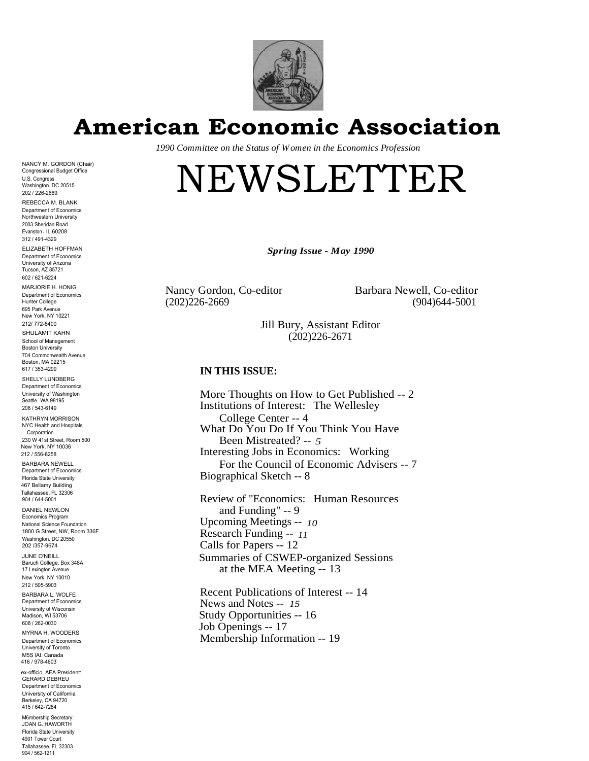

**American Economic Association**

*1990 Committee on the Status of Women in the Economics Profession*

# NEWSLETTER

*Spring Issue - May 1990*

Nancy Gordon, Co-editor Barbara Newell, Co-editor

(202)226-2669 (904)644-5001

Jill Bury, Assistant Editor (202)226-2671

# **IN THIS ISSUE:**

More Thoughts on How to Get Published -- 2 Institutions of Interest: The Wellesley College Center -- 4 What Do You Do If You Think You Have Been Mistreated? -- *5* Interesting Jobs in Economics: Working For the Council of Economic Advisers -- 7 Biographical Sketch -- 8

Review of "Economics: Human Resources and Funding" -- 9 Upcoming Meetings -- *10* Research Funding -- *11* Calls for Papers -- 12 Summaries of CSWEP-organized Sessions at the MEA Meeting -- 13

Recent Publications of Interest -- 14 News and Notes -- *15* Study Opportunities -- 16 Job Openings -- 17 Membership Information -- 19

Department of Economics University of Arizona Tucson, AZ 85721 602 / 621-6224 MARJORIE H. HONIG Department of Economics Hunter College 695 Park Avenue New York, NY 10221 212/ 772-5400 SHULAMIT KAHN School of Management Boston University 704 Commonwealth Avenue Boston, MA 02215 617 / 353-4299 SHELLY LUNDBERG Department of Economics University of Washington Seattle. WA 98195 206 / 543-6149 KATHRYN MORRISON NYC Health and Hospitals **Corporation** 

NANCY M. GORDON (Chair) Congressional Budget Office U.S. Congress Washington. DC 20515 202 / 226-2669 REBECCA M. BLANK Department of Economics Northwestern University 2003 Sheridan Road Evanston ' IL 60208 312 / 491-4329 ELIZABETH HOFFMAN

230 W 41st Street, Room 500 New York, NY 10036 212 / 556-8258 BARBARA NEWELL

Department of Economics Florida State University 467 Bellamy Building Tallahassee, FL 32306 904 / 644-5001

DANIEL NEWLON Economics Program National Science Foundation 1800 G Street, NW, Room 336F Washington. DC 20550 202 /357-9674

JUNE O'NEILL Baruch College. Box 348A 17 Lexington Avenue New York. NY 10010 212 / 505-5903

BARBARA L. WOLFE Department of Economics University of Wisconsin Madison, WI 53706 608 / 262-0030

MYRNA H. WOODERS Department of Economics University of Toronto M5S lAl. Canada 416 / 978-4603

ex-officio, AEA President: GERARD DEBREU Department of Economics University of California Berkeley, CA 94720 415 / 642-7284

M6mbership Secretary: JOAN G. HAWORTH Florida State University 4901 Tower Court Tallahassee. FL 32303 904 / 562-1211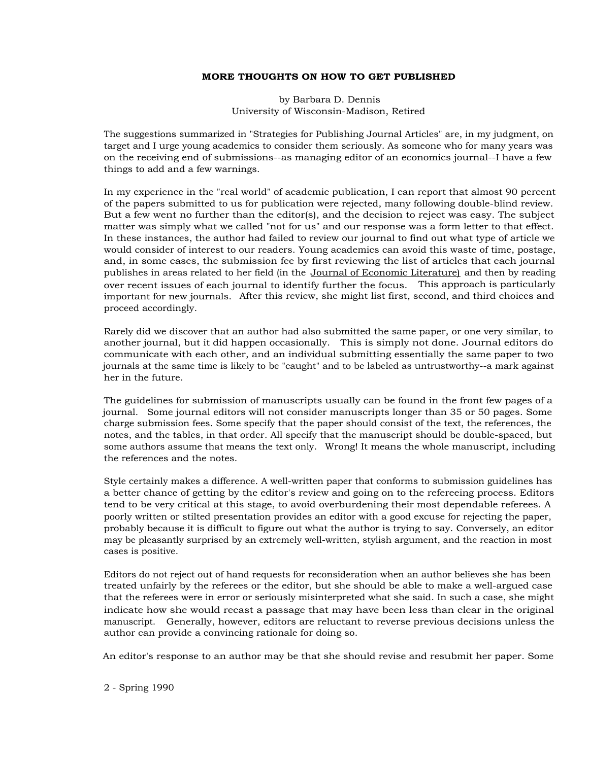## **MORE THOUGHTS ON HOW TO GET PUBLISHED**

by Barbara D. Dennis University of Wisconsin-Madison, Retired

The suggestions summarized in "Strategies for Publishing Journal Articles" are, in my judgment, on target and I urge young academics to consider them seriously. As someone who for many years was on the receiving end of submissions--as managing editor of an economics journal--I have a few things to add and a few warnings.

In my experience in the "real world" of academic publication, I can report that almost 90 percent of the papers submitted to us for publication were rejected, many following double-blind review. But a few went no further than the editor(s), and the decision to reject was easy. The subject matter was simply what we called "not for us" and our response was a form letter to that effect. In these instances, the author had failed to review our journal to find out what type of article we would consider of interest to our readers. Young academics can avoid this waste of time, postage, and, in some cases, the submission fee by first reviewing the list of articles that each journal publishes in areas related to her field (in the <u>Journal of Economic Literature)</u> and then by reading over recent issues of each journal to identify further the focus. This approach is particularly important for new journals. After this review, she might list first, second, and third choices and proceed accordingly.

Rarely did we discover that an author had also submitted the same paper, or one very similar, to another journal, but it did happen occasionally. This is simply not done. Journal editors do communicate with each other, and an individual submitting essentially the same paper to two journals at the same time is likely to be "caught" and to be labeled as untrustworthy--a mark against her in the future.

The guidelines for submission of manuscripts usually can be found in the front few pages of a journal. Some journal editors will not consider manuscripts longer than 35 or 50 pages. Some charge submission fees. Some specify that the paper should consist of the text, the references, the notes, and the tables, in that order. All specify that the manuscript should be double-spaced, but some authors assume that means the text only. Wrong! It means the whole manuscript, including the references and the notes.

Style certainly makes a difference. A well-written paper that conforms to submission guidelines has a better chance of getting by the editor's review and going on to the refereeing process. Editors tend to be very critical at this stage, to avoid overburdening their most dependable referees. A poorly written or stilted presentation provides an editor with a good excuse for rejecting the paper, probably because it is difficult to figure out what the author is trying to say. Conversely, an editor may be pleasantly surprised by an extremely well-written, stylish argument, and the reaction in most cases is positive.

Editors do not reject out of hand requests for reconsideration when an author believes she has been treated unfairly by the referees or the editor, but she should be able to make a well-argued case that the referees were in error or seriously misinterpreted what she said. In such a case, she might indicate how she would recast a passage that may have been less than clear in the original manuscript. Generally, however, editors are reluctant to reverse previous decisions unless the author can provide a convincing rationale for doing so.

An editor's response to an author may be that she should revise and resubmit her paper. Some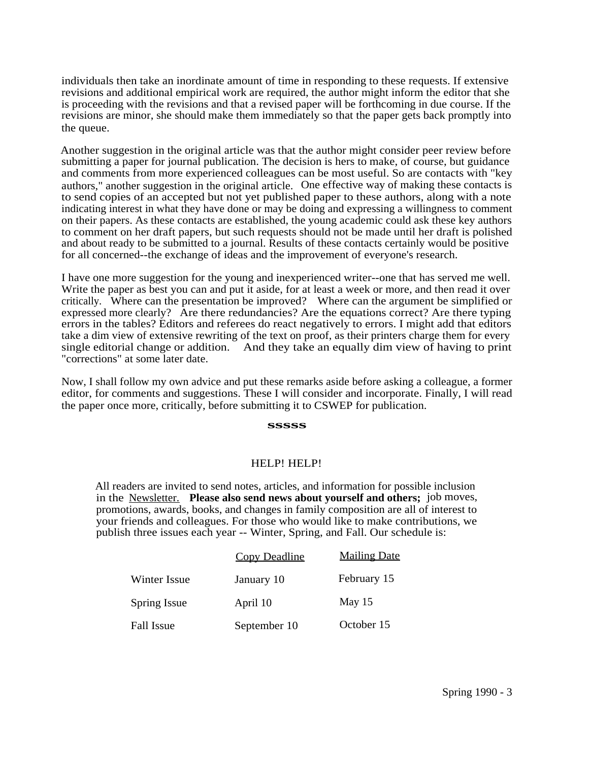individuals then take an inordinate amount of time in responding to these requests. If extensive revisions and additional empirical work are required, the author might inform the editor that she is proceeding with the revisions and that a revised paper will be forthcoming in due course. If the revisions are minor, she should make them immediately so that the paper gets back promptly into the queue.

Another suggestion in the original article was that the author might consider peer review before submitting a paper for journal publication. The decision is hers to make, of course, but guidance and comments from more experienced colleagues can be most useful. So are contacts with "key authors," another suggestion in the original article. One effective way of making these contacts is to send copies of an accepted but not yet published paper to these authors, along with a note indicating interest in what they have done or may be doing and expressing a willingness to comment on their papers. As these contacts are established, the young academic could ask these key authors to comment on her draft papers, but such requests should not be made until her draft is polished and about ready to be submitted to a journal. Results of these contacts certainly would be positive for all concerned--the exchange of ideas and the improvement of everyone's research.

I have one more suggestion for the young and inexperienced writer--one that has served me well. Write the paper as best you can and put it aside, for at least a week or more, and then read it over critically. Where can the presentation be improved? Where can the argument be simplified or expressed more clearly? Are there redundancies? Are the equations correct? Are there typing errors in the tables? Editors and referees do react negatively to errors. I might add that editors take a dim view of extensive rewriting of the text on proof, as their printers charge them for every single editorial change or addition. And they take an equally dim view of having to print "corrections" at some later date.

Now, I shall follow my own advice and put these remarks aside before asking a colleague, a former editor, for comments and suggestions. These I will consider and incorporate. Finally, I will read the paper once more, critically, before submitting it to CSWEP for publication.

#### **sssss**

#### HELP! HELP!

All readers are invited to send notes, articles, and information for possible inclusion in the Newsletter. **Please also send news about yourself and others;** job moves, promotions, awards, books, and changes in family composition are all of interest to your friends and colleagues. For those who would like to make contributions, we publish three issues each year -- Winter, Spring, and Fall. Our schedule is:

|              | <b>Copy Deadline</b> | <b>Mailing Date</b> |
|--------------|----------------------|---------------------|
| Winter Issue | January 10           | February 15         |
| Spring Issue | April 10             | May 15              |
| Fall Issue   | September 10         | October 15          |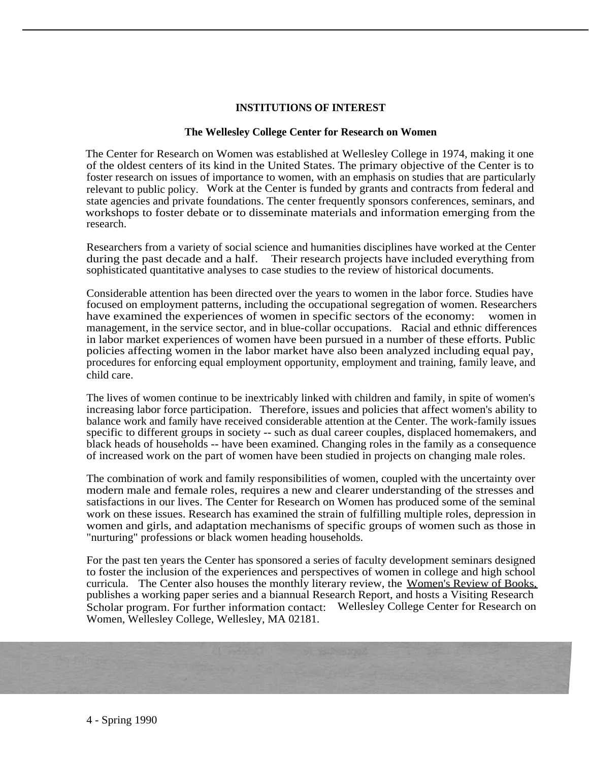# **INSTITUTIONS OF INTEREST**

# **The Wellesley College Center for Research on Women**

The Center for Research on Women was established at Wellesley College in 1974, making it one of the oldest centers of its kind in the United States. The primary objective of the Center is to foster research on issues of importance to women, with an emphasis on studies that are particularly relevant to public policy. Work at the Center is funded by grants and contracts from federal and state agencies and private foundations. The center frequently sponsors conferences, seminars, and workshops to foster debate or to disseminate materials and information emerging from the research.

Researchers from a variety of social science and humanities disciplines have worked at the Center during the past decade and a half. Their research projects have included everything from sophisticated quantitative analyses to case studies to the review of historical documents.

Considerable attention has been directed over the years to women in the labor force. Studies have focused on employment patterns, including the occupational segregation of women. Researchers have examined the experiences of women in specific sectors of the economy: women in management, in the service sector, and in blue-collar occupations. Racial and ethnic differences in labor market experiences of women have been pursued in a number of these efforts. Public policies affecting women in the labor market have also been analyzed including equal pay, procedures for enforcing equal employment opportunity, employment and training, family leave, and child care.

The lives of women continue to be inextricably linked with children and family, in spite of women's increasing labor force participation. Therefore, issues and policies that affect women's ability to balance work and family have received considerable attention at the Center. The work-family issues specific to different groups in society -- such as dual career couples, displaced homemakers, and black heads of households -- have been examined. Changing roles in the family as a consequence of increased work on the part of women have been studied in projects on changing male roles.

The combination of work and family responsibilities of women, coupled with the uncertainty over modern male and female roles, requires a new and clearer understanding of the stresses and satisfactions in our lives. The Center for Research on Women has produced some of the seminal work on these issues. Research has examined the strain of fulfilling multiple roles, depression in women and girls, and adaptation mechanisms of specific groups of women such as those in "nurturing" professions or black women heading households.

For the past ten years the Center has sponsored a series of faculty development seminars designed to foster the inclusion of the experiences and perspectives of women in college and high school curricula. The Center also houses the monthly literary review, the Women's Review of Books, publishes a working paper series and a biannual Research Report, and hosts a Visiting Research Scholar program. For further information contact: Wellesley College Center for Research on Women, Wellesley College, Wellesley, MA 02181.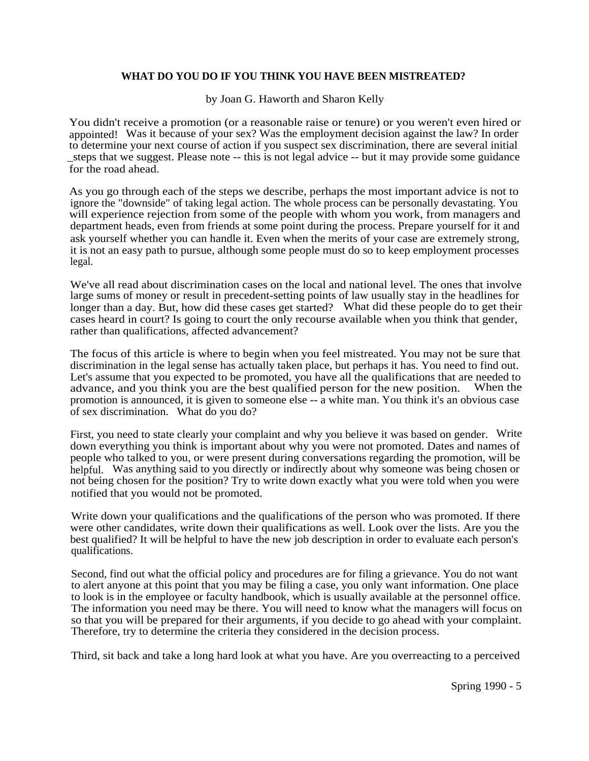# **WHAT DO YOU DO IF YOU THINK YOU HAVE BEEN MISTREATED?**

by Joan G. Haworth and Sharon Kelly

You didn't receive a promotion (or a reasonable raise or tenure) or you weren't even hired or appointed! Was it because of your sex? Was the employment decision against the law? In order to determine your next course of action if you suspect sex discrimination, there are several initial \_steps that we suggest. Please note -- this is not legal advice -- but it may provide some guidance for the road ahead.

As you go through each of the steps we describe, perhaps the most important advice is not to ignore the "downside" of taking legal action. The whole process can be personally devastating. You will experience rejection from some of the people with whom you work, from managers and department heads, even from friends at some point during the process. Prepare yourself for it and ask yourself whether you can handle it. Even when the merits of your case are extremely strong, it is not an easy path to pursue, although some people must do so to keep employment processes legal.

We've all read about discrimination cases on the local and national level. The ones that involve large sums of money or result in precedent-setting points of law usually stay in the headlines for longer than a day. But, how did these cases get started? What did these people do to get their cases heard in court? Is going to court the only recourse available when you think that gender, rather than qualifications, affected advancement?

The focus of this article is where to begin when you feel mistreated. You may not be sure that discrimination in the legal sense has actually taken place, but perhaps it has. You need to find out. Let's assume that you expected to be promoted, you have all the qualifications that are needed to advance, and you think you are the best qualified person for the new position. When the advance, and you think you are the best qualified person for the new position. promotion is announced, it is given to someone else -- a white man. You think it's an obvious case of sex discrimination. What do you do?

First, you need to state clearly your complaint and why you believe it was based on gender. Write down everything you think is important about why you were not promoted. Dates and names of people who talked to you, or were present during conversations regarding the promotion, will be helpful. Was anything said to you directly or indirectly about why someone was being chosen or not being chosen for the position? Try to write down exactly what you were told when you were notified that you would not be promoted.

Write down your qualifications and the qualifications of the person who was promoted. If there were other candidates, write down their qualifications as well. Look over the lists. Are you the best qualified? It will be helpful to have the new job description in order to evaluate each person's qualifications.

Second, find out what the official policy and procedures are for filing a grievance. You do not want to alert anyone at this point that you may be filing a case, you only want information. One place to look is in the employee or faculty handbook, which is usually available at the personnel office. The information you need may be there. You will need to know what the managers will focus on so that you will be prepared for their arguments, if you decide to go ahead with your complaint. Therefore, try to determine the criteria they considered in the decision process.

Third, sit back and take a long hard look at what you have. Are you overreacting to a perceived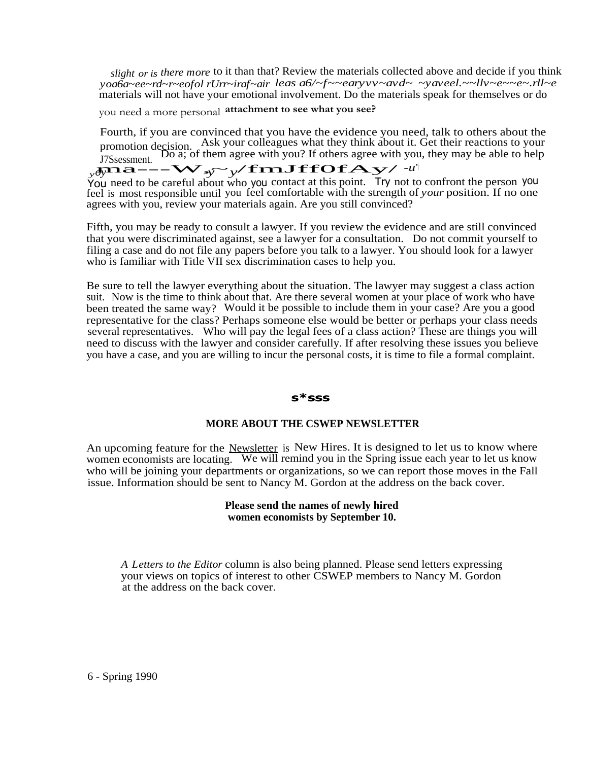*slight or is there more* to it than that? Review the materials collected above and decide if you think *yoa6a~ee~rd~r~eofol rUrr~iraf~air leas a6/~f~~earyvv~avd~ ~yaveel.~~llv~e~~e~.rll~e* materials will not have your emotional involvement. Do the materials speak for themselves or do

you need a more personal **attachment to see what you see?**

Fourth, if you are convinced that you have the evidence you need, talk to others about the promotion decision. Ask your colleagues what they think about it. Get their reactions to your J7Ssessment. Do a; of them agree with you? If others agree with you, they may be able to help  $v\partial\Omega = -\nabla V v$   $\Delta v$   $\Delta v$ Fromotion decision.<br>
Do a; of them agree with you? If others agree with you<br>  $m\mathbf{a} = -\mathbf{W}$ ,  $y = y/\mathbf{f} \mathbf{mJ} \mathbf{f} \mathbf{f} \mathbf{O} \mathbf{f} \mathbf{A}$ *JTSsessment.* Boa, or them agree what you. It stills agree what you,<br>  $y \partial y \mathbf{R} \mathbf{a}$  -  $-\mathbf{W}$   $y \rightarrow y'$  **find ff Of A**  $y'$  <sup>-u'</sup>

You need to be careful about who you contact at this point. Try not to confront the person you feel is most responsible until you feel comfortable with the strength of *your* position. If no one agrees with you, review your materials again. Are you still convinced?

Fifth, you may be ready to consult a lawyer. If you review the evidence and are still convinced that you were discriminated against, see a lawyer for a consultation. Do not commit yourself to filing a case and do not file any papers before you talk to a lawyer. You should look for a lawyer who is familiar with Title VII sex discrimination cases to help you.

Be sure to tell the lawyer everything about the situation. The lawyer may suggest a class action suit. Now is the time to think about that. Are there several women at your place of work who have been treated the same way? Would it be possible to include them in your case? Are you a good representative for the class? Perhaps someone else would be better or perhaps your class needs several representatives. Who will pay the legal fees of a class action? These are things you will need to discuss with the lawyer and consider carefully. If after resolving these issues you believe you have a case, and you are willing to incur the personal costs, it is time to file a formal complaint.

#### **s\*sss**

#### **MORE ABOUT THE CSWEP NEWSLETTER**

An upcoming feature for the Newsletter is New Hires. It is designed to let us to know where women economists are locating. We will remind you in the Spring issue each year to let us know who will be joining your departments or organizations, so we can report those moves in the Fall issue. Information should be sent to Nancy M. Gordon at the address on the back cover.

#### **Please send the names of newly hired women economists by September 10.**

*A Letters to the Editor* column is also being planned. Please send letters expressing your views on topics of interest to other CSWEP members to Nancy M. Gordon at the address on the back cover.

6 - Spring 1990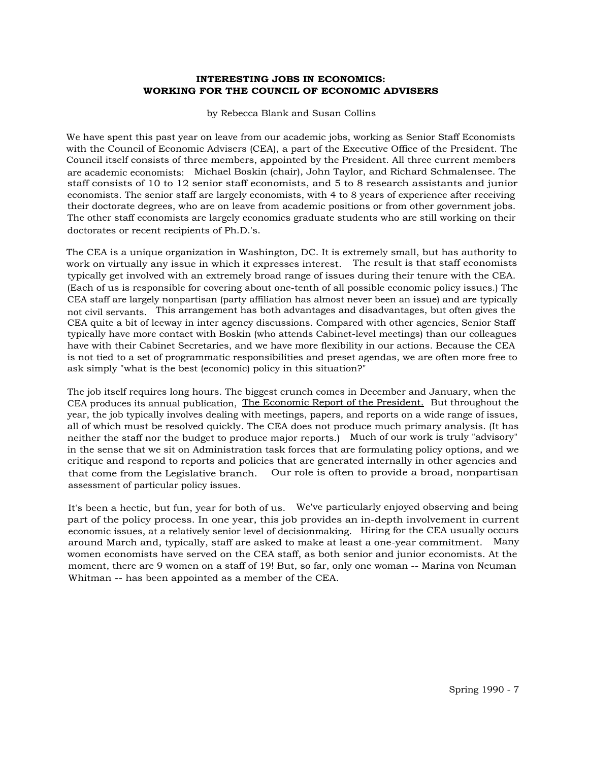#### **INTERESTING JOBS IN ECONOMICS: WORKING FOR THE COUNCIL OF ECONOMIC ADVISERS**

by Rebecca Blank and Susan Collins

We have spent this past year on leave from our academic jobs, working as Senior Staff Economists with the Council of Economic Advisers (CEA), a part of the Executive Office of the President. The Council itself consists of three members, appointed by the President. All three current members are academic economists: Michael Boskin (chair), John Taylor, and Richard Schmalensee. The staff consists of 10 to 12 senior staff economists, and 5 to 8 research assistants and junior economists. The senior staff are largely economists, with 4 to 8 years of experience after receiving their doctorate degrees, who are on leave from academic positions or from other government jobs. The other staff economists are largely economics graduate students who are still working on their doctorates or recent recipients of Ph.D.'s.

The CEA is a unique organization in Washington, DC. It is extremely small, but has authority to work on virtually any issue in which it expresses interest. The result is that staff economists typically get involved with an extremely broad range of issues during their tenure with the CEA. (Each of us is responsible for covering about one-tenth of all possible economic policy issues.) The CEA staff are largely nonpartisan (party affiliation has almost never been an issue) and are typically not civil servants. This arrangement has both advantages and disadvantages, but often gives the CEA quite a bit of leeway in inter agency discussions. Compared with other agencies, Senior Staff typically have more contact with Boskin (who attends Cabinet-level meetings) than our colleagues have with their Cabinet Secretaries, and we have more flexibility in our actions. Because the CEA is not tied to a set of programmatic responsibilities and preset agendas, we are often more free to ask simply "what is the best (economic) policy in this situation?"

The job itself requires long hours. The biggest crunch comes in December and January, when the CEA produces its annual publication, The Economic Report of the President. But throughout the year, the job typically involves dealing with meetings, papers, and reports on a wide range of issues, all of which must be resolved quickly. The CEA does not produce much primary analysis. (It has neither the staff nor the budget to produce major reports.) Much of our work is truly "advisory" in the sense that we sit on Administration task forces that are formulating policy options, and we critique and respond to reports and policies that are generated internally in other agencies and that come from the Legislative branch. Our role is often to provide a broad, nonpartisan assessment of particular policy issues.

It's been a hectic, but fun, year for both of us. We've particularly enjoyed observing and being part of the policy process. In one year, this job provides an in-depth involvement in current economic issues, at a relatively senior level of decisionmaking. Hiring for the CEA usually occurs around March and, typically, staff are asked to make at least a one-year commitment. Many women economists have served on the CEA staff, as both senior and junior economists. At the moment, there are 9 women on a staff of 19! But, so far, only one woman -- Marina von Neuman Whitman -- has been appointed as a member of the CEA.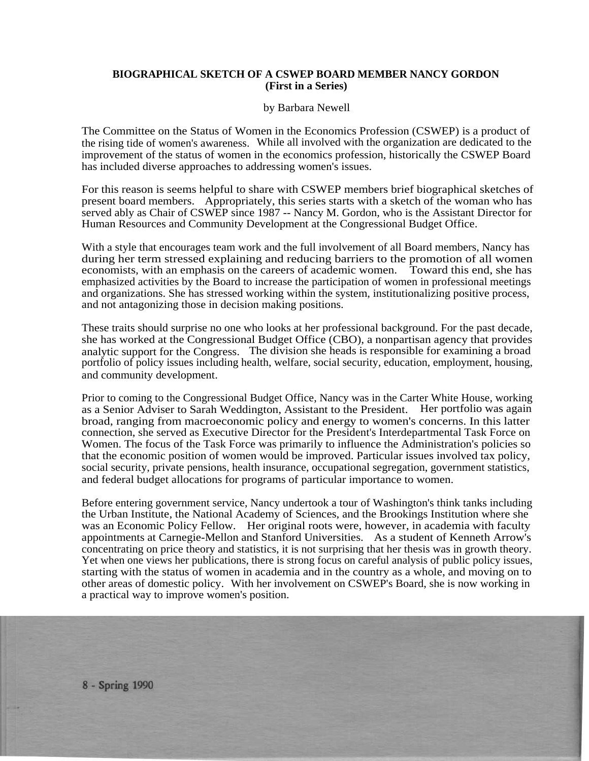# **BIOGRAPHICAL SKETCH OF A CSWEP BOARD MEMBER NANCY GORDON (First in a Series)**

#### by Barbara Newell

The Committee on the Status of Women in the Economics Profession (CSWEP) is a product of the rising tide of women's awareness. While all involved with the organization are dedicated to the improvement of the status of women in the economics profession, historically the CSWEP Board has included diverse approaches to addressing women's issues.

For this reason is seems helpful to share with CSWEP members brief biographical sketches of present board members. Appropriately, this series starts with a sketch of the woman who has served ably as Chair of CSWEP since 1987 -- Nancy M. Gordon, who is the Assistant Director for Human Resources and Community Development at the Congressional Budget Office.

With a style that encourages team work and the full involvement of all Board members, Nancy has during her term stressed explaining and reducing barriers to the promotion of all women economists, with an emphasis on the careers of academic women. Toward this end, she has emphasized activities by the Board to increase the participation of women in professional meetings and organizations. She has stressed working within the system, institutionalizing positive process, and not antagonizing those in decision making positions.

These traits should surprise no one who looks at her professional background. For the past decade, she has worked at the Congressional Budget Office (CBO), a nonpartisan agency that provides analytic support for the Congress. The division she heads is responsible for examining a broad portfolio of policy issues including health, welfare, social security, education, employment, housing, and community development.

Prior to coming to the Congressional Budget Office, Nancy was in the Carter White House, working as a Senior Adviser to Sarah Weddington, Assistant to the President. Her portfolio was again broad, ranging from macroeconomic policy and energy to women's concerns. In this latter connection, she served as Executive Director for the President's Interdepartmental Task Force on Women. The focus of the Task Force was primarily to influence the Administration's policies so that the economic position of women would be improved. Particular issues involved tax policy, social security, private pensions, health insurance, occupational segregation, government statistics, and federal budget allocations for programs of particular importance to women.

Before entering government service, Nancy undertook a tour of Washington's think tanks including the Urban Institute, the National Academy of Sciences, and the Brookings Institution where she was an Economic Policy Fellow. Her original roots were, however, in academia with faculty appointments at Carnegie-Mellon and Stanford Universities. As a student of Kenneth Arrow's concentrating on price theory and statistics, it is not surprising that her thesis was in growth theory. Yet when one views her publications, there is strong focus on careful analysis of public policy issues, starting with the status of women in academia and in the country as a whole, and moving on to other areas of domestic policy. With her involvement on CSWEP's Board, she is now working in a practical way to improve women's position.

8 - Spring 1990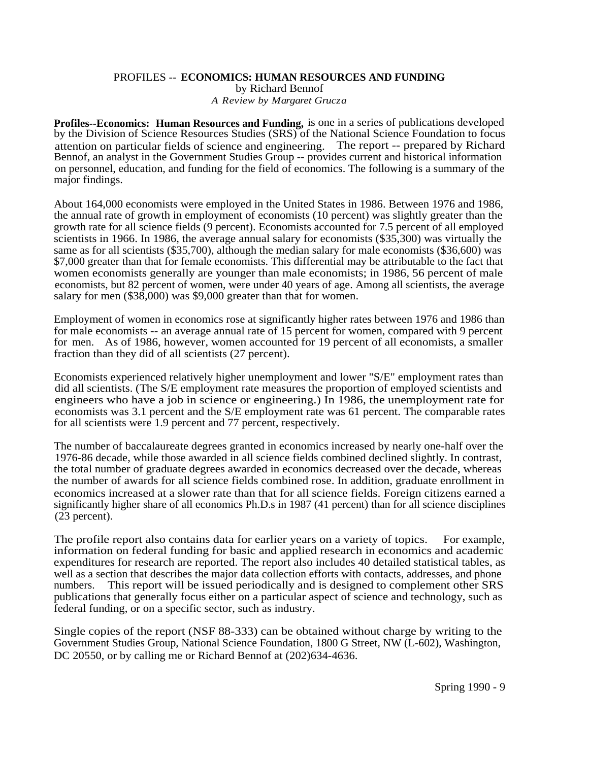# PROFILES -- **ECONOMICS: HUMAN RESOURCES AND FUNDING** by Richard Bennof *A Review by Margaret Grucza*

**Profiles--Economics: Human Resources and Funding,** is one in a series of publications developed by the Division of Science Resources Studies (SRS) of the National Science Foundation to focus attention on particular fields of science and engineering. The report -- prepared by Richard Bennof, an analyst in the Government Studies Group -- provides current and historical information on personnel, education, and funding for the field of economics. The following is a summary of the major findings.

About 164,000 economists were employed in the United States in 1986. Between 1976 and 1986, the annual rate of growth in employment of economists (10 percent) was slightly greater than the growth rate for all science fields (9 percent). Economists accounted for 7.5 percent of all employed scientists in 1966. In 1986, the average annual salary for economists (\$35,300) was virtually the same as for all scientists (\$35,700), although the median salary for male economists (\$36,600) was \$7,000 greater than that for female economists. This differential may be attributable to the fact that women economists generally are younger than male economists; in 1986, 56 percent of male economists, but 82 percent of women, were under 40 years of age. Among all scientists, the average salary for men (\$38,000) was \$9,000 greater than that for women.

Employment of women in economics rose at significantly higher rates between 1976 and 1986 than for male economists -- an average annual rate of 15 percent for women, compared with 9 percent for men. As of 1986, however, women accounted for 19 percent of all economists, a smaller fraction than they did of all scientists (27 percent).

Economists experienced relatively higher unemployment and lower "S/E" employment rates than did all scientists. (The S/E employment rate measures the proportion of employed scientists and engineers who have a job in science or engineering.) In 1986, the unemployment rate for economists was 3.1 percent and the S/E employment rate was 61 percent. The comparable rates for all scientists were 1.9 percent and 77 percent, respectively.

The number of baccalaureate degrees granted in economics increased by nearly one-half over the 1976-86 decade, while those awarded in all science fields combined declined slightly. In contrast, the total number of graduate degrees awarded in economics decreased over the decade, whereas the number of awards for all science fields combined rose. In addition, graduate enrollment in economics increased at a slower rate than that for all science fields. Foreign citizens earned a significantly higher share of all economics Ph.D.s in 1987 (41 percent) than for all science disciplines (23 percent).

The profile report also contains data for earlier years on a variety of topics. For example, information on federal funding for basic and applied research in economics and academic expenditures for research are reported. The report also includes 40 detailed statistical tables, as well as a section that describes the major data collection efforts with contacts, addresses, and phone numbers. This report will be issued periodically and is designed to complement other SRS publications that generally focus either on a particular aspect of science and technology, such as federal funding, or on a specific sector, such as industry.

Single copies of the report (NSF 88-333) can be obtained without charge by writing to the Government Studies Group, National Science Foundation, 1800 G Street, NW (L-602), Washington, DC 20550, or by calling me or Richard Bennof at  $(202)634-4636$ .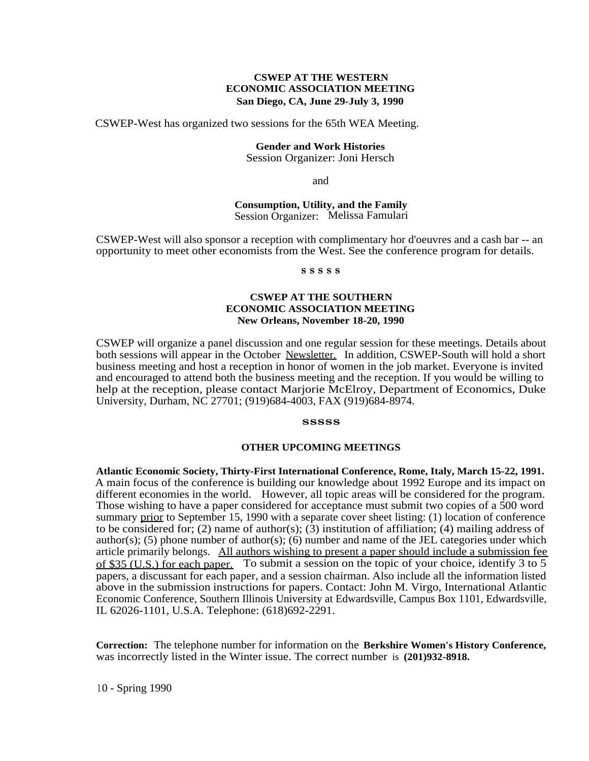# **CSWEP AT THE WESTERN ECONOMIC ASSOCIATION MEETING San Diego, CA, June 29-July 3, 1990**

CSWEP-West has organized two sessions for the 65th WEA Meeting.

# **Gender and Work Histories**

Session Organizer: Joni Hersch

and

**Consumption, Utility, and the Family** Session Organizer: Melissa Famulari

CSWEP-West will also sponsor a reception with complimentary hor d'oeuvres and a cash bar -- an opportunity to meet other economists from the West. See the conference program for details.

#### **s s s s s**

#### **CSWEP AT THE SOUTHERN ECONOMIC ASSOCIATION MEETING New Orleans, November 18-20, 1990**

CSWEP will organize a panel discussion and one regular session for these meetings. Details about both sessions will appear in the October Newsletter. In addition, CSWEP-South will hold a short business meeting and host a reception in honor of women in the job market. Everyone is invited and encouraged to attend both the business meeting and the reception. If you would be willing to help at the reception, please contact Marjorie McElroy, Department of Economics, Duke University, Durham, NC 27701; (919)684-4003, FAX (919)684-8974.

#### **sssss**

#### **OTHER UPCOMING MEETINGS**

**Atlantic Economic Society, Thirty-First International Conference, Rome, Italy, March 15-22, 1991.** A main focus of the conference is building our knowledge about 1992 Europe and its impact on different economies in the world. However, all topic areas will be considered for the program. Those wishing to have a paper considered for acceptance must submit two copies of a 500 word summary prior to September 15, 1990 with a separate cover sheet listing: (1) location of conference to be considered for; (2) name of author(s); (3) institution of affiliation; (4) mailing address of author(s); (5) phone number of author(s); (6) number and name of the JEL categories under which article primarily belongs. All authors wishing to present a paper should include a submission fee of \$35 (U.S.) for each paper. To submit a session on the topic of your choice, identify 3 to 5 papers, a discussant for each paper, and a session chairman. Also include all the information listed above in the submission instructions for papers. Contact: John M. Virgo, International Atlantic Economic Conference, Southern Illinois University at Edwardsville, Campus Box 1101, Edwardsville, IL 62026-1101, U.S.A. Telephone: (618)692-2291.

**Correction:** The telephone number for information on the **Berkshire Women's History Conference,** was incorrectly listed in the Winter issue. The correct number is **(201)932-8918.**

<sup>1</sup> 0 - Spring 1990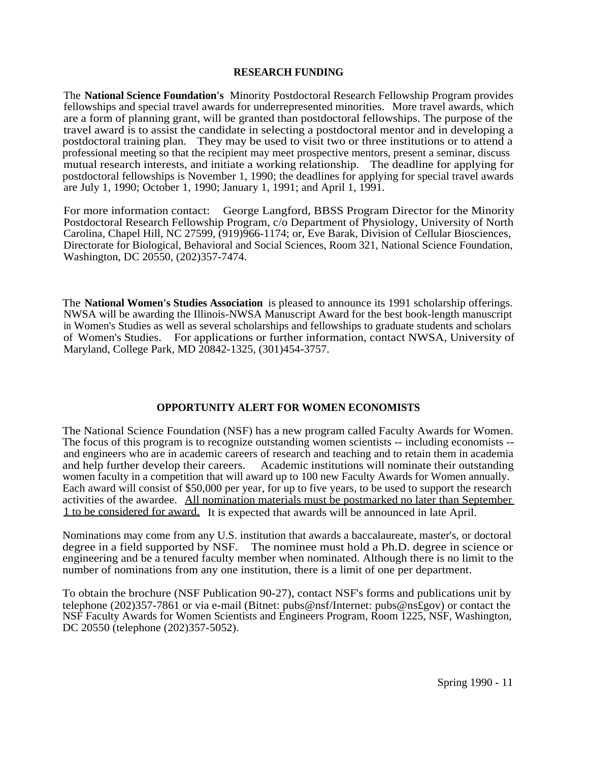# **RESEARCH FUNDING**

The **National Science Foundation's** Minority Postdoctoral Research Fellowship Program provides fellowships and special travel awards for underrepresented minorities. More travel awards, which are a form of planning grant, will be granted than postdoctoral fellowships. The purpose of the travel award is to assist the candidate in selecting a postdoctoral mentor and in developing a postdoctoral training plan. They may be used to visit two or three institutions or to attend a professional meeting so that the recipient may meet prospective mentors, present a seminar, discuss mutual research interests, and initiate a working relationship. The deadline for applying for postdoctoral fellowships is November 1, 1990; the deadlines for applying for special travel awards are July 1, 1990; October 1, 1990; January 1, 1991; and April 1, 1991.

For more information contact: George Langford, BBSS Program Director for the Minority Postdoctoral Research Fellowship Program, c/o Department of Physiology, University of North Carolina, Chapel Hill, NC 27599, (919)966-1174; or, Eve Barak, Division of Cellular Biosciences, Directorate for Biological, Behavioral and Social Sciences, Room 321, National Science Foundation, Washington, DC 20550, (202)357-7474.

The **National Women's Studies Association** is pleased to announce its 1991 scholarship offerings. NWSA will be awarding the Illinois-NWSA Manuscript Award for the best book-length manuscript in Women's Studies as well as several scholarships and fellowships to graduate students and scholars of Women's Studies. For applications or further information, contact NWSA, University of Maryland, College Park, MD 20842-1325, (301)454-3757.

# **OPPORTUNITY ALERT FOR WOMEN ECONOMISTS**

The National Science Foundation (NSF) has a new program called Faculty Awards for Women. The focus of this program is to recognize outstanding women scientists -- including economists - and engineers who are in academic careers of research and teaching and to retain them in academia<br>and help further develop their careers. Academic institutions will nominate their outstanding Academic institutions will nominate their outstanding. women faculty in a competition that will award up to 100 new Faculty Awards for Women annually. Each award will consist of \$50,000 per year, for up to five years, to be used to support the research activities of the awardee. All nomination materials must be postmarked no later than September 1 to be considered for award. It is expected that awards will be announced in late April.

Nominations may come from any U.S. institution that awards a baccalaureate, master's, or doctoral degree in a field supported by NSF. The nominee must hold a Ph.D. degree in science or engineering and be a tenured faculty member when nominated. Although there is no limit to the number of nominations from any one institution, there is a limit of one per department.

To obtain the brochure (NSF Publication 90-27), contact NSF's forms and publications unit by telephone (202)357-7861 or via e-mail (Bitnet: pubs@nsf/Internet: pubs@ns£gov) or contact the NSF Faculty Awards for Women Scientists and Engineers Program, Room 1225, NSF, Washington, DC 20550 (telephone (202)357-5052).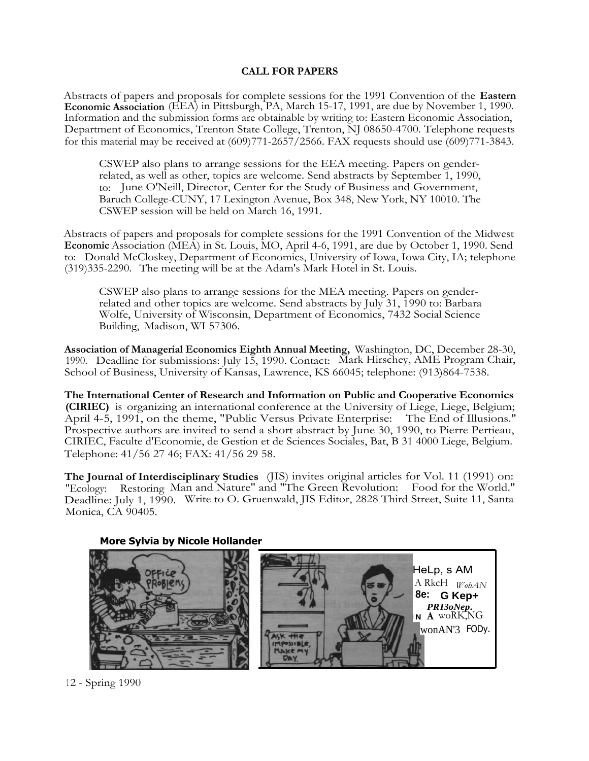# **CALL FOR PAPERS**

Abstracts of papers and proposals for complete sessions for the 1991 Convention of the **Eastern Economic Association** (EEA) in Pittsburgh, PA, March 15-17, 1991, are due by November 1, 1990. Information and the submission forms are obtainable by writing to: Eastern Economic Association, Department of Economics, Trenton State College, Trenton, NJ 08650-4700. Telephone requests for this material may be received at (609)771-2657/2566. FAX requests should use (609)771-3843.

CSWEP also plans to arrange sessions for the EEA meeting. Papers on genderrelated, as well as other, topics are welcome. Send abstracts by September 1, 1990, to: June O'Neill, Director, Center for the Study of Business and Government, Baruch College-CUNY, 17 Lexington Avenue, Box 348, New York, NY 10010. The CSWEP session will be held on March 16, 1991.

Abstracts of papers and proposals for complete sessions for the 1991 Convention of the Midwest **Economic** Association (MEA) in St. Louis, MO, April 4-6, 1991, are due by October 1, 1990. Send to: Donald McCloskey, Department of Economics, University of Iowa, Iowa City, IA; telephone (319)335-2290. The meeting will be at the Adam's Mark Hotel in St. Louis.

CSWEP also plans to arrange sessions for the MEA meeting. Papers on genderrelated and other topics are welcome. Send abstracts by July 31, 1990 to: Barbara Wolfe, University of Wisconsin, Department of Economics, 7432 Social Science Building, Madison, WI 57306.

**Association of Managerial Economics Eighth Annual Meeting,** Washington, DC, December 28-30, 1990. Deadline for submissions: July 15, 1990. Contact: Mark Hirschey, AME Program Chair, School of Business, University of Kansas, Lawrence, KS 66045; telephone: (913)864-7538.

**The International Center of Research and Information on Public and Cooperative Economics (CIRIEC)** is organizing an international conference at the University of Liege, Liege, Belgium; April 4-5, 1991, on the theme, "Public Versus Private Enterprise: The End of Illusions." Prospective authors are invited to send a short abstract by June 30, 1990, to Pierre Pertieau, CIRIEC, Faculte d'Economie, de Gestion et de Sciences Sociales, Bat, B 31 4000 Liege, Belgium. Telephone: 41/56 27 46; FAX: 41/56 29 58.

**The Journal of Interdisciplinary Studies** (JIS) invites original articles for Vol. 11 (1991) on: "Ecology: Restoring Man and Nature" and "The Green Revolution: Food for the World." Deadline: July 1, 1990. Write to O. Gruenwald, JIS Editor, 2828 Third Street, Suite 11, Santa Monica, CA 90405.



**More Sylvia by Nicole Hollander**

12 - Spring 1990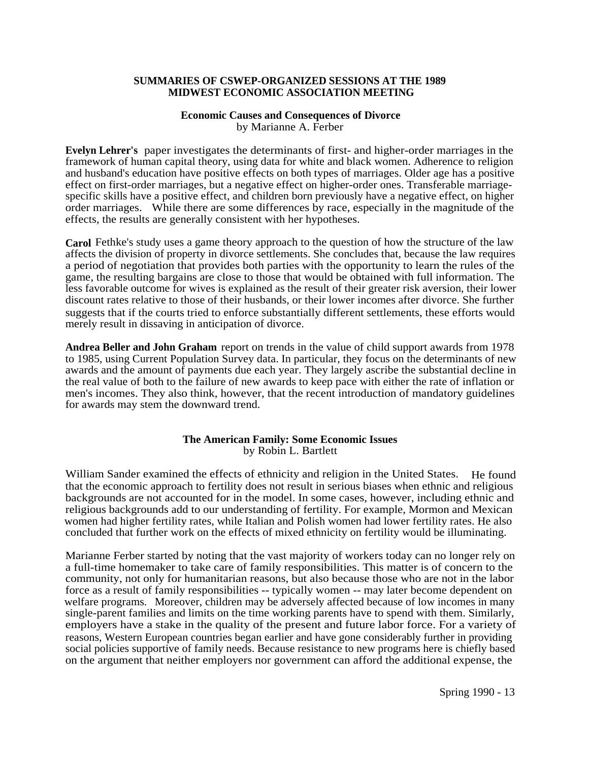# **SUMMARIES OF CSWEP-ORGANIZED SESSIONS AT THE 1989 MIDWEST ECONOMIC ASSOCIATION MEETING**

# **Economic Causes and Consequences of Divorce**

by Marianne A. Ferber

**Evelyn Lehrer's** paper investigates the determinants of first- and higher-order marriages in the framework of human capital theory, using data for white and black women. Adherence to religion and husband's education have positive effects on both types of marriages. Older age has a positive effect on first-order marriages, but a negative effect on higher-order ones. Transferable marriagespecific skills have a positive effect, and children born previously have a negative effect, on higher order marriages. While there are some differences by race, especially in the magnitude of the effects, the results are generally consistent with her hypotheses.

**Carol** Fethke's study uses a game theory approach to the question of how the structure of the law affects the division of property in divorce settlements. She concludes that, because the law requires a period of negotiation that provides both parties with the opportunity to learn the rules of the game, the resulting bargains are close to those that would be obtained with full information. The less favorable outcome for wives is explained as the result of their greater risk aversion, their lower discount rates relative to those of their husbands, or their lower incomes after divorce. She further suggests that if the courts tried to enforce substantially different settlements, these efforts would merely result in dissaving in anticipation of divorce.

**Andrea Beller and John Graham** report on trends in the value of child support awards from 1978 to 1985, using Current Population Survey data. In particular, they focus on the determinants of new awards and the amount of payments due each year. They largely ascribe the substantial decline in the real value of both to the failure of new awards to keep pace with either the rate of inflation or men's incomes. They also think, however, that the recent introduction of mandatory guidelines for awards may stem the downward trend.

# **The American Family: Some Economic Issues** by Robin L. Bartlett

William Sander examined the effects of ethnicity and religion in the United States. He found that the economic approach to fertility does not result in serious biases when ethnic and religious backgrounds are not accounted for in the model. In some cases, however, including ethnic and religious backgrounds add to our understanding of fertility. For example, Mormon and Mexican women had higher fertility rates, while Italian and Polish women had lower fertility rates. He also concluded that further work on the effects of mixed ethnicity on fertility would be illuminating.

Marianne Ferber started by noting that the vast majority of workers today can no longer rely on a full-time homemaker to take care of family responsibilities. This matter is of concern to the community, not only for humanitarian reasons, but also because those who are not in the labor force as a result of family responsibilities -- typically women -- may later become dependent on welfare programs. Moreover, children may be adversely affected because of low incomes in many single-parent families and limits on the time working parents have to spend with them. Similarly, employers have a stake in the quality of the present and future labor force. For a variety of reasons, Western European countries began earlier and have gone considerably further in providing social policies supportive of family needs. Because resistance to new programs here is chiefly based on the argument that neither employers nor government can afford the additional expense, the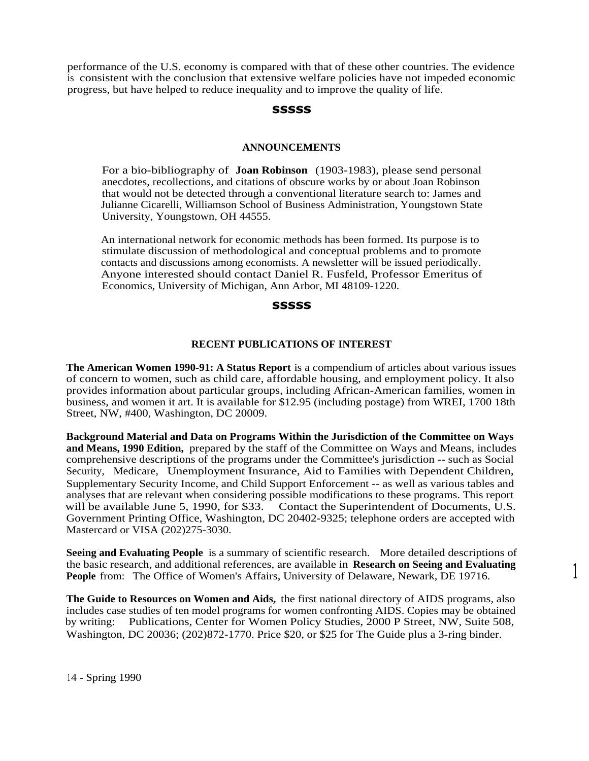performance of the U.S. economy is compared with that of these other countries. The evidence is consistent with the conclusion that extensive welfare policies have not impeded economic progress, but have helped to reduce inequality and to improve the quality of life.

# **sssss**

#### **ANNOUNCEMENTS**

For a bio-bibliography of **Joan Robinson** (1903-1983), please send personal anecdotes, recollections, and citations of obscure works by or about Joan Robinson that would not be detected through a conventional literature search to: James and Julianne Cicarelli, Williamson School of Business Administration, Youngstown State University, Youngstown, OH 44555.

An international network for economic methods has been formed. Its purpose is to stimulate discussion of methodological and conceptual problems and to promote contacts and discussions among economists. A newsletter will be issued periodically. Anyone interested should contact Daniel R. Fusfeld, Professor Emeritus of Economics, University of Michigan, Ann Arbor, MI 48109-1220.

#### **sssss**

#### **RECENT PUBLICATIONS OF INTEREST**

**The American Women 1990-91: A Status Report** is a compendium of articles about various issues of concern to women, such as child care, affordable housing, and employment policy. It also provides information about particular groups, including African-American families, women in business, and women it art. It is available for \$12.95 (including postage) from WREI, 1700 18th Street, NW, #400, Washington, DC 20009.

**Background Material and Data on Programs Within the Jurisdiction of the Committee on Ways and Means, 1990 Edition,** prepared by the staff of the Committee on Ways and Means, includes comprehensive descriptions of the programs under the Committee's jurisdiction -- such as Social Security, Medicare, Unemployment Insurance, Aid to Families with Dependent Children, Supplementary Security Income, and Child Support Enforcement -- as well as various tables and analyses that are relevant when considering possible modifications to these programs. This report will be available June 5, 1990, for \$33. Contact the Superintendent of Documents, U.S. Government Printing Office, Washington, DC 20402-9325; telephone orders are accepted with Mastercard or VISA (202)275-3030.

**Seeing and Evaluating People** is a summary of scientific research. More detailed descriptions of the basic research, and additional references, are available in **Research on Seeing and Evaluating People** from: The Office of Women's Affairs, University of Delaware, Newark, DE 19716.

1

**The Guide to Resources on Women and Aids,** the first national directory of AIDS programs, also includes case studies of ten model programs for women confronting AIDS. Copies may be obtained by writing: Publications, Center for Women Policy Studies, 2000 P Street, NW, Suite 508, Washington, DC 20036; (202)872-1770. Price \$20, or \$25 for The Guide plus a 3-ring binder.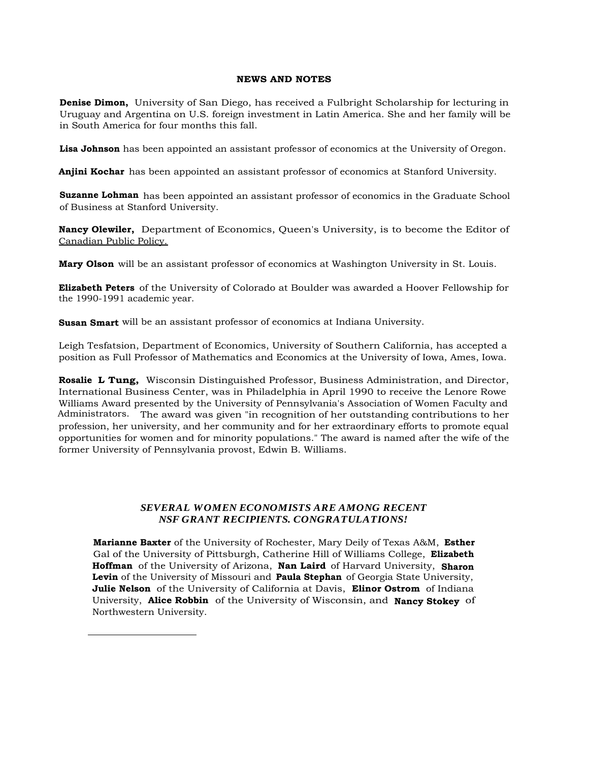#### **NEWS AND NOTES**

**Denise Dimon,** University of San Diego, has received a Fulbright Scholarship for lecturing in Uruguay and Argentina on U.S. foreign investment in Latin America. She and her family will be in South America for four months this fall.

**Lisa Johnson** has been appointed an assistant professor of economics at the University of Oregon.

**Anjini Kochar** has been appointed an assistant professor of economics at Stanford University.

**Suzanne Lohman** has been appointed an assistant professor of economics in the Graduate School of Business at Stanford University.

**Nancy Olewiler,** Department of Economics, Queen's University, is to become the Editor of Canadian Public Policy.

**Mary Olson** will be an assistant professor of economics at Washington University in St. Louis.

**Elizabeth Peters** of the University of Colorado at Boulder was awarded a Hoover Fellowship for the 1990-1991 academic year.

**Susan Smart** will be an assistant professor of economics at Indiana University.

Leigh Tesfatsion, Department of Economics, University of Southern California, has accepted a position as Full Professor of Mathematics and Economics at the University of Iowa, Ames, Iowa.

**Rosalie L Tung,** Wisconsin Distinguished Professor, Business Administration, and Director, International Business Center, was in Philadelphia in April 1990 to receive the Lenore Rowe Williams Award presented by the University of Pennsylvania's Association of Women Faculty and Administrators. The award was given "in recognition of her outstanding contributions to her profession, her university, and her community and for her extraordinary efforts to promote equal opportunities for women and for minority populations." The award is named after the wife of the former University of Pennsylvania provost, Edwin B. Williams.

# *SEVERAL WOMEN ECONOMISTS ARE AMONG RECENT NSF GRANT RECIPIENTS. CONGRATULATIONS!*

**Marianne Baxter** of the University of Rochester, Mary Deily of Texas A&M, **Esther** Gal of the University of Pittsburgh, Catherine Hill of Williams College, **Elizabeth Hoffman** of the University of Arizona, **Nan Laird** of Harvard University, **Sharon Levin** of the University of Missouri and **Paula Stephan** of Georgia State University, **Julie Nelson** of the University of California at Davis, **Elinor Ostrom** of Indiana University, **Alice Robbin** of the University of Wisconsin, and **Nancy Stokey** of Northwestern University.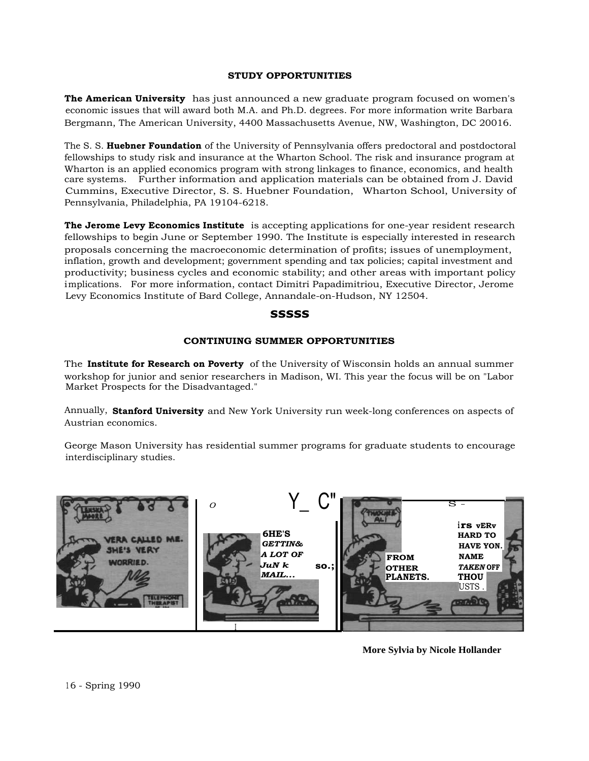#### **STUDY OPPORTUNITIES**

**The American University** has just announced a new graduate program focused on women's economic issues that will award both M.A. and Ph.D. degrees. For more information write Barbara Bergmann, The American University, 4400 Massachusetts Avenue, NW, Washington, DC 20016.

The S. S. **Huebner Foundation** of the University of Pennsylvania offers predoctoral and postdoctoral fellowships to study risk and insurance at the Wharton School. The risk and insurance program at Wharton is an applied economics program with strong linkages to finance, economics, and health care systems. Further information and application materials can be obtained from J. David Cummins, Executive Director, S. S. Huebner Foundation, Wharton School, University of Pennsylvania, Philadelphia, PA 19104-6218.

**The Jerome Levy Economics Institute** is accepting applications for one-year resident research fellowships to begin June or September 1990. The Institute is especially interested in research proposals concerning the macroeconomic determination of profits; issues of unemployment, inflation, growth and development; government spending and tax policies; capital investment and productivity; business cycles and economic stability; and other areas with important policy implications. For more information, contact Dimitri Papadimitriou, Executive Director, Jerome Levy Economics Institute of Bard College, Annandale-on-Hudson, NY 12504. **Example 18 and 18 and 18 and 18 and 18 and 18 and 18 and 18 and 18 and 18 and 18 and 18 and 18 and 18 and 18 and 18 and 18 and 18 and 18 and 18 and 18 and 18 and 18 and 18 and 18 and 18 and 18 and 18 and 18 and 18 and 18** 

#### **sssss**

# **CONTINUING SUMMER OPPORTUNITIES**

The **Institute for Research on Poverty** of the University of Wisconsin holds an annual summer workshop for junior and senior researchers in Madison, WI. This year the focus will be on "Labor Market Prospects for the Disadvantaged."

Annually, **Stanford University** and New York University run week-long conferences on aspects of Austrian economics.

George Mason University has residential summer programs for graduate students to encourage interdisciplinary studies.



**More Sylvia by Nicole Hollander**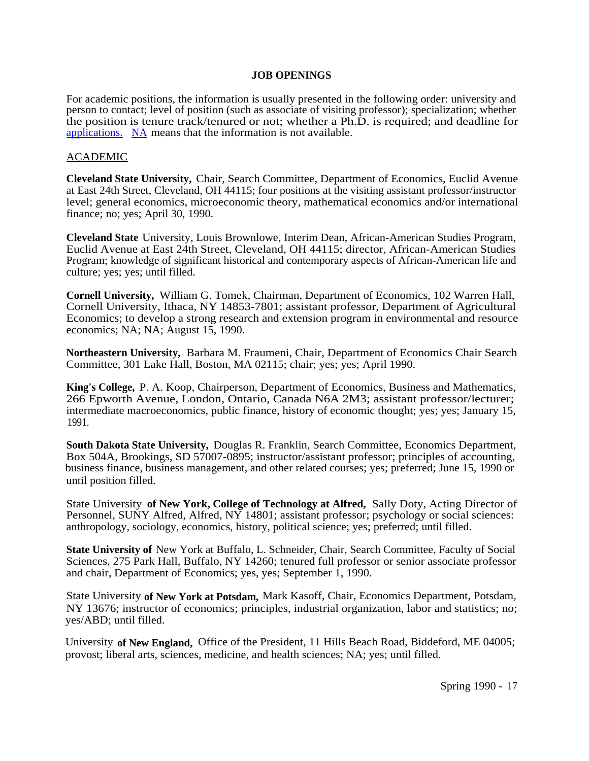# **JOB OPENINGS**

For academic positions, the information is usually presented in the following order: university and person to contact; level of position (such as associate of visiting professor); specialization; whether the position is tenure track/tenured or not; whether a Ph.D. is required; and deadline for [applications.](http://applications.NA) [NA](http://applications.NA) means that the information is not available.

# ACADEMIC

**Cleveland State University,** Chair, Search Committee, Department of Economics, Euclid Avenue at East 24th Street, Cleveland, OH 44115; four positions at the visiting assistant professor/instructor level; general economics, microeconomic theory, mathematical economics and/or international finance; no; yes; April 30, 1990.

**Cleveland State** University, Louis Brownlowe, Interim Dean, African-American Studies Program, Euclid Avenue at East 24th Street, Cleveland, OH 44115; director, African-American Studies Program; knowledge of significant historical and contemporary aspects of African-American life and culture; yes; yes; until filled.

**Cornell University,** William G. Tomek, Chairman, Department of Economics, 102 Warren Hall, Cornell University, Ithaca, NY 14853-7801; assistant professor, Department of Agricultural Economics; to develop a strong research and extension program in environmental and resource economics; NA; NA; August 15, 1990.

**Northeastern University,** Barbara M. Fraumeni, Chair, Department of Economics Chair Search Committee, 301 Lake Hall, Boston, MA 02115; chair; yes; yes; April 1990.

**King's College,** P. A. Koop, Chairperson, Department of Economics, Business and Mathematics, 266 Epworth Avenue, London, Ontario, Canada N6A 2M3; assistant professor/lecturer; intermediate macroeconomics, public finance, history of economic thought; yes; yes; January 15, 1991.

**South Dakota State University,** Douglas R. Franklin, Search Committee, Economics Department, Box 504A, Brookings, SD 57007-0895; instructor/assistant professor; principles of accounting, business finance, business management, and other related courses; yes; preferred; June 15, 1990 or until position filled.

State University **of New York, College of Technology at Alfred,** Sally Doty, Acting Director of Personnel, SUNY Alfred, Alfred, NY 14801; assistant professor; psychology or social sciences: anthropology, sociology, economics, history, political science; yes; preferred; until filled.

**State University of** New York at Buffalo, L. Schneider, Chair, Search Committee, Faculty of Social Sciences, 275 Park Hall, Buffalo, NY 14260; tenured full professor or senior associate professor and chair, Department of Economics; yes, yes; September 1, 1990.

State University **of New York at Potsdam,** Mark Kasoff, Chair, Economics Department, Potsdam, NY 13676; instructor of economics; principles, industrial organization, labor and statistics; no; yes/ABD; until filled.

University **of New England,** Office of the President, 11 Hills Beach Road, Biddeford, ME 04005; provost; liberal arts, sciences, medicine, and health sciences; NA; yes; until filled.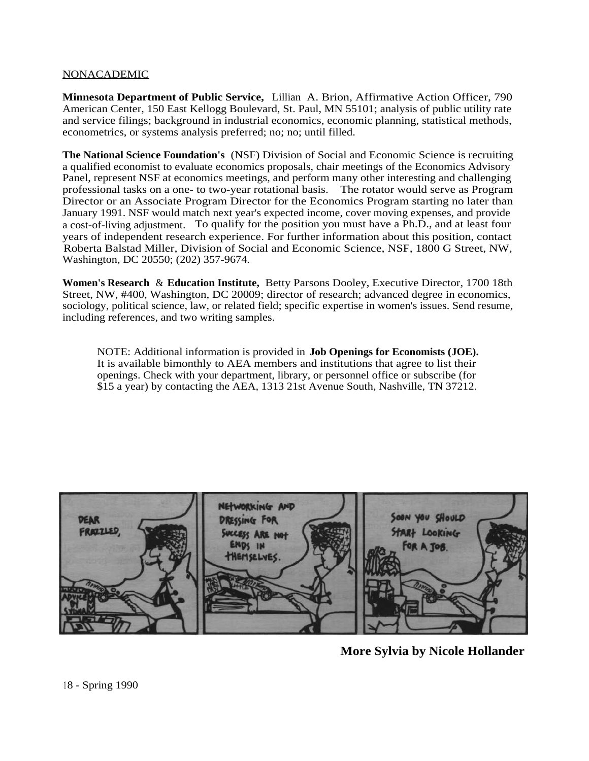# NONACADEMIC

**Minnesota Department of Public Service,** Lillian A. Brion, Affirmative Action Officer, 790 American Center, 150 East Kellogg Boulevard, St. Paul, MN 55101; analysis of public utility rate and service filings; background in industrial economics, economic planning, statistical methods, econometrics, or systems analysis preferred; no; no; until filled.

**The National Science Foundation's** (NSF) Division of Social and Economic Science is recruiting a qualified economist to evaluate economics proposals, chair meetings of the Economics Advisory Panel, represent NSF at economics meetings, and perform many other interesting and challenging professional tasks on a one- to two-year rotational basis. The rotator would serve as Program Director or an Associate Program Director for the Economics Program starting no later than January 1991. NSF would match next year's expected income, cover moving expenses, and provide a cost-of-living adjustment. To qualify for the position you must have a Ph.D., and at least four years of independent research experience. For further information about this position, contact Roberta Balstad Miller, Division of Social and Economic Science, NSF, 1800 G Street, NW, Washington, DC 20550; (202) 357-9674.

**Women's Research** & **Education Institute,** Betty Parsons Dooley, Executive Director, 1700 18th Street, NW, #400, Washington, DC 20009; director of research; advanced degree in economics, sociology, political science, law, or related field; specific expertise in women's issues. Send resume, including references, and two writing samples.

NOTE: Additional information is provided in **Job Openings for Economists (JOE).** It is available bimonthly to AEA members and institutions that agree to list their openings. Check with your department, library, or personnel office or subscribe (for \$15 a year) by contacting the AEA, 1313 21st Avenue South, Nashville, TN 37212.



**More Sylvia by Nicole Hollander**